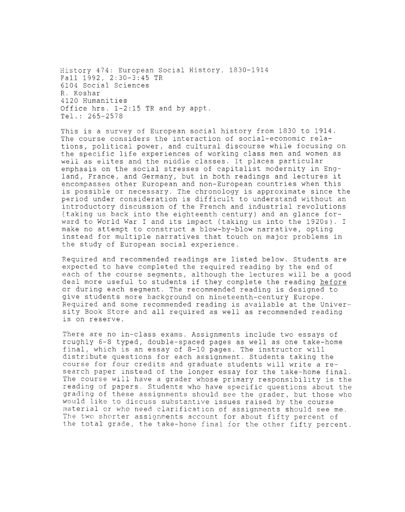History 474: European Social History, 1830-1914 Fall 1992, 2:30-3:45 TR 6104 Social Sciences R. Koshar 4120 Humanities Office hrs. 1-2:15 TR and by appt. Tel.: 265-2578

This is a survey of European social history from 1830 to 1914. The course considers the interaction of social-economic relations, political power, and cultural discourse while focusing on the specific life experiences of working class men and women as well as elites and the middle classes. It places particular emphasis on the social stresses of capitalist modernity in England, France, and Germany, but in both readings and lectures it encompasses other European and non-European countries when this is possible or necessary. The chronology is approximate since the period under consideration is difficult to understand without an introductory discussion of the French and industrial revolutions (taking us back into the eighteenth century) and an glance forward to World War I and its impact (taking us into the 1920s). I make no attempt to construct a blow-by-blow narrative, opting instead for multiple narratives that touch on major problems in the study of European social experience.

Required and recommended readings are listed below. Students are expected to have completed the required reading by the end of each of the course segments, although the lectures will be a good deal more useful to students if they complete the reading before or during each segment. The recommended reading is designed to give students more background on nineteenth-century Europe. Required and some recommended reading is available at the University Book Store and all required as well as recommended reading is on reserve.

There are no in-class exams. Assignments include two essays of roughly 6-8 typed, double-spaced pages as well as one take-home final, which is an essay of 8-10 pages. The instructor will distribute questions for each assignment. Students taking the course for four credits and graduate students will write a research paper instead of the longer essay for the take-home final. The course will have a grader whose primary responsibility is the reading of papers. Students who have specific questions about the grading of these assignments should see the grader, but those who would like to discuss substantive issues raised by the course material or who need clarification of assignments should see me. The two shorter assignments account for about fifty percent of the total grade, the take-home final for the other fifty percent.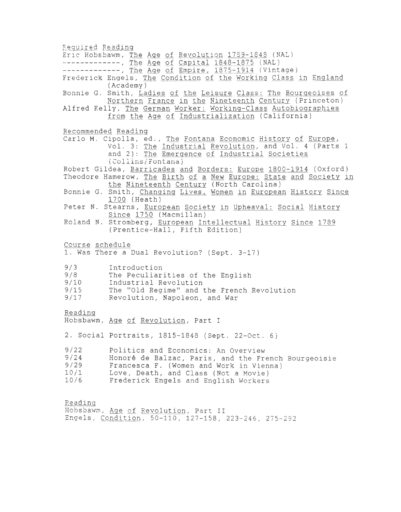Required Reading Eric Hobsbawm, The Age of Revolution 1789-1848 (NAL) ------------, The Age of Capital 1848-1875 (NAL) ------------, The Age of Empire, 1875-1914 (Vintage) Frederick Engels, The Condition of the Working Class in England (Academy) Bonnie G. Smith, Ladies of the Leisure Class: The Bourgeoises of Northern France in the Nineteenth Century (Princeton) Alfred Kelly, The German Worker: Working-Class Autobiographies from the Age of Industrialization (California) Recommended Reading Carlo M. Cipolla, ed., The Fontana Economic History of Europe, Vol. 3: The Industrial Revolution, and Vol. 4 (Parts 1 and 2): The Emergence of Industrial Societies (Collins/Fontana) Robert Gildea, Barricades and Borders: Europe 1800-1914 (Oxford) Theodore Hamerow, The Birth of a New Europe: State and Society in the Nineteenth Century (North Carolina) Bonnie G. Smith, Changing Lives. Women in European History Since 1700 (Heath) Peter N. Stearns, European Society in Upheaval: Social History Since 1750 (Macmillan) Roland N. Stromberg, European Intellectual History Since 1789 (Prentice-Hall, Fifth Edition) Course schedule 1. Was There a Dual Revolution? (Sept. 3-17) 9/3 9/8 9/10 9/15 9/17 Reading Introduction The Peculiarities of the English Industrial Revolution The "Old Regime" and the French Revolution Revolution, Napoleon, and War Hobsbawm, Age of Revolution, Part I 2. Social Portraits, 1815-1848 (Sept. 22-0ct. 6) 9/22 9/24 9/29 10/1 10/6 Reading Politics and Economics: An Overview Honore de Balzac, Paris, and the French Bourgeoisie Francesca F. (Women and Work in Vienna) Love, Death, and Class (Not a Movie) Frederick Engels and English Workers Hobsbawm, Age of Revolution, Part II

Engels, Condition, 50-110, 127-158, 223-246, 275-292